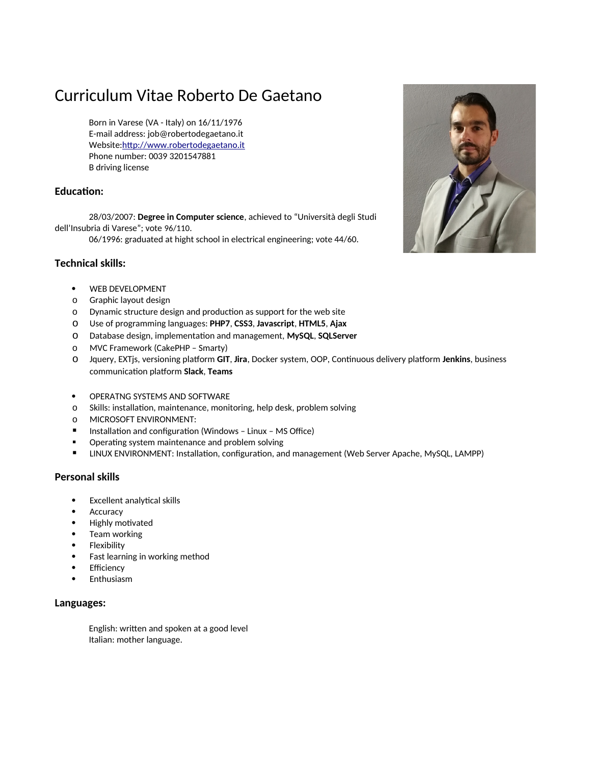# Curriculum Vitae Roberto De Gaetano

Born in Varese (VA - Italy) on 16/11/1976 E-mail address: job@robertodegaetano.it Website:[http://www.robertodegaetano.it](http://www.robertodegaetano.it/) Phone number: 0039 3201547881 B driving license

# **Education:**

28/03/2007: **Degree in Computer science**, achieved to "Università degli Studi dell'Insubria di Varese"; vote 96/110.

06/1996: graduated at hight school in electrical engineering; vote 44/60.

## **Technical skills:**

- WEB DEVELOPMENT
- o Graphic layout design
- o Dynamic structure design and production as support for the web site
- o Use of programming languages: **PHP7**, **CSS3**, **Javascript**, **HTML5**, **Ajax**
- o Database design, implementation and management, **MySQL**, **SQLServer**
- o MVC Framework (CakePHP Smarty)
- o Jquery, EXTjs, versioning platform **GIT**, **Jira**, Docker system, OOP, Continuous delivery platform **Jenkins**, business communication platform **Slack**, **Teams**
- **OPERATNG SYSTEMS AND SOFTWARE**
- o Skills: installation, maintenance, monitoring, help desk, problem solving
- o MICROSOFT ENVIRONMENT:
- **Installation and configuration (Windows Linux MS Office)**
- **•** Operating system maintenance and problem solving
- LINUX ENVIRONMENT: Installation, configuration, and management (Web Server Apache, MySQL, LAMPP)

## **Personal skills**

- Excellent analytical skills
- Accuracy
- Highly motivated
- Team working
- Flexibility
- Fast learning in working method
- Efficiency
- Enthusiasm

### **Languages:**

English: written and spoken at a good level Italian: mother language.